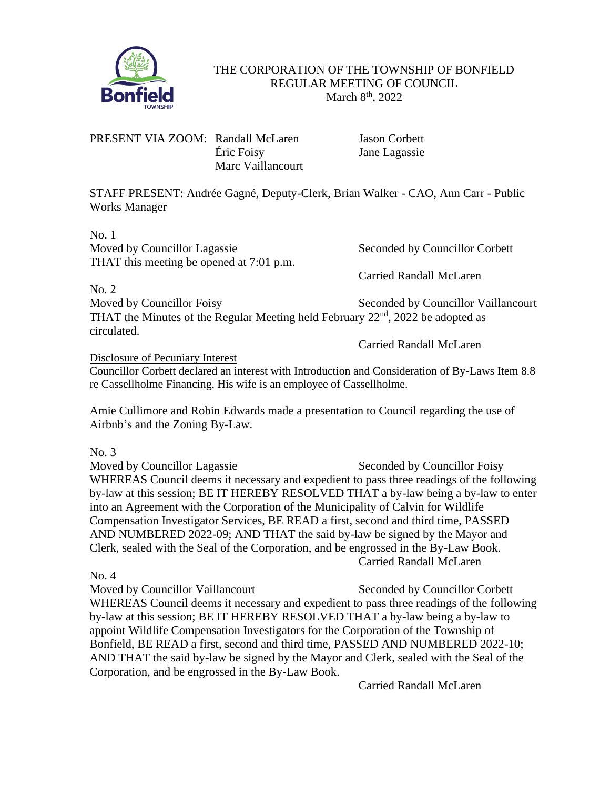

THE CORPORATION OF THE TOWNSHIP OF BONFIELD REGULAR MEETING OF COUNCIL March 8<sup>th</sup>, 2022

PRESENT VIA ZOOM: Randall McLaren Jason Corbett Éric Foisy Jane Lagassie Marc Vaillancourt

STAFF PRESENT: Andrée Gagné, Deputy-Clerk, Brian Walker - CAO, Ann Carr - Public Works Manager

No. 1 Moved by Councillor Lagassie Seconded by Councillor Corbett THAT this meeting be opened at 7:01 p.m.

Carried Randall McLaren

No. 2 Moved by Councillor Foisy Seconded by Councillor Vaillancourt THAT the Minutes of the Regular Meeting held February 22nd, 2022 be adopted as circulated.

Carried Randall McLaren

Disclosure of Pecuniary Interest Councillor Corbett declared an interest with Introduction and Consideration of By-Laws Item 8.8 re Cassellholme Financing. His wife is an employee of Cassellholme.

Amie Cullimore and Robin Edwards made a presentation to Council regarding the use of Airbnb's and the Zoning By-Law.

No. 3

Moved by Councillor Lagassie Seconded by Councillor Foisy WHEREAS Council deems it necessary and expedient to pass three readings of the following by-law at this session; BE IT HEREBY RESOLVED THAT a by-law being a by-law to enter into an Agreement with the Corporation of the Municipality of Calvin for Wildlife Compensation Investigator Services, BE READ a first, second and third time, PASSED AND NUMBERED 2022-09; AND THAT the said by-law be signed by the Mayor and Clerk, sealed with the Seal of the Corporation, and be engrossed in the By-Law Book. Carried Randall McLaren

No. 4

Moved by Councillor Vaillancourt Seconded by Councillor Corbett WHEREAS Council deems it necessary and expedient to pass three readings of the following by-law at this session; BE IT HEREBY RESOLVED THAT a by-law being a by-law to appoint Wildlife Compensation Investigators for the Corporation of the Township of Bonfield, BE READ a first, second and third time, PASSED AND NUMBERED 2022-10; AND THAT the said by-law be signed by the Mayor and Clerk, sealed with the Seal of the Corporation, and be engrossed in the By-Law Book.

Carried Randall McLaren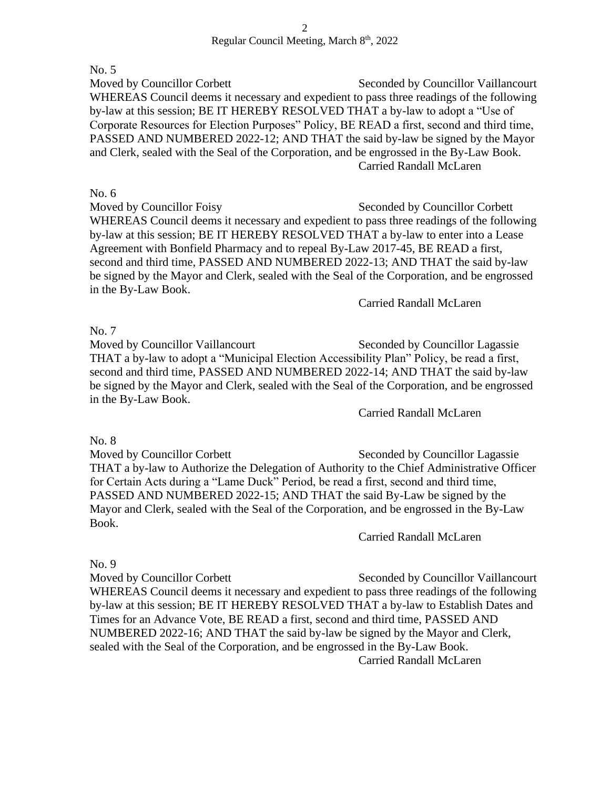No. 5

Moved by Councillor Corbett Seconded by Councillor Vaillancourt WHEREAS Council deems it necessary and expedient to pass three readings of the following by-law at this session; BE IT HEREBY RESOLVED THAT a by-law to adopt a "Use of Corporate Resources for Election Purposes" Policy, BE READ a first, second and third time, PASSED AND NUMBERED 2022-12; AND THAT the said by-law be signed by the Mayor and Clerk, sealed with the Seal of the Corporation, and be engrossed in the By-Law Book. Carried Randall McLaren

No. 6 Moved by Councillor Foisy Seconded by Councillor Corbett WHEREAS Council deems it necessary and expedient to pass three readings of the following by-law at this session; BE IT HEREBY RESOLVED THAT a by-law to enter into a Lease Agreement with Bonfield Pharmacy and to repeal By-Law 2017-45, BE READ a first, second and third time, PASSED AND NUMBERED 2022-13; AND THAT the said by-law be signed by the Mayor and Clerk, sealed with the Seal of the Corporation, and be engrossed in the By-Law Book.

Carried Randall McLaren

No. 7

Moved by Councillor Vaillancourt Seconded by Councillor Lagassie THAT a by-law to adopt a "Municipal Election Accessibility Plan" Policy, be read a first, second and third time, PASSED AND NUMBERED 2022-14; AND THAT the said by-law be signed by the Mayor and Clerk, sealed with the Seal of the Corporation, and be engrossed in the By-Law Book.

Carried Randall McLaren

No. 8

Moved by Councillor Corbett Seconded by Councillor Lagassie THAT a by-law to Authorize the Delegation of Authority to the Chief Administrative Officer for Certain Acts during a "Lame Duck" Period, be read a first, second and third time, PASSED AND NUMBERED 2022-15; AND THAT the said By-Law be signed by the Mayor and Clerk, sealed with the Seal of the Corporation, and be engrossed in the By-Law Book.

Carried Randall McLaren

No. 9

Moved by Councillor Corbett Seconded by Councillor Vaillancourt WHEREAS Council deems it necessary and expedient to pass three readings of the following by-law at this session; BE IT HEREBY RESOLVED THAT a by-law to Establish Dates and Times for an Advance Vote, BE READ a first, second and third time, PASSED AND NUMBERED 2022-16; AND THAT the said by-law be signed by the Mayor and Clerk, sealed with the Seal of the Corporation, and be engrossed in the By-Law Book. Carried Randall McLaren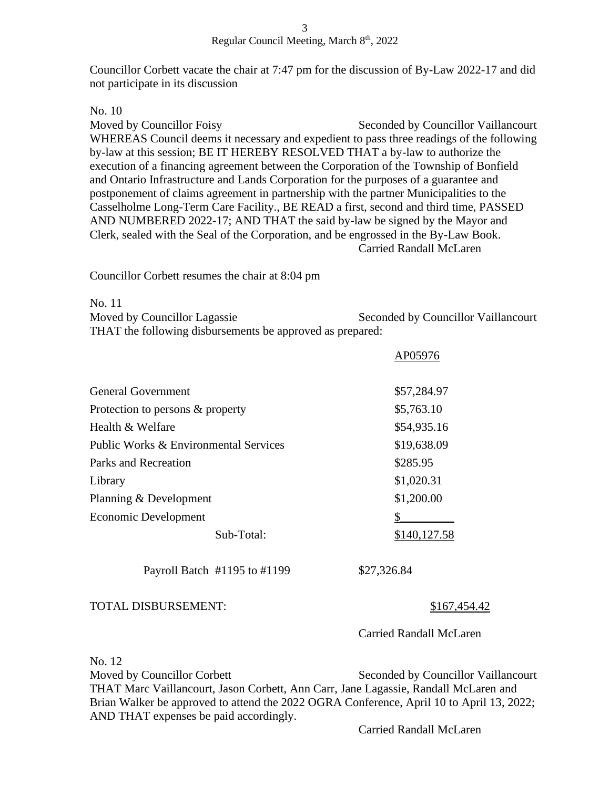Councillor Corbett vacate the chair at 7:47 pm for the discussion of By-Law 2022-17 and did not participate in its discussion

## No. 10

Moved by Councillor Foisy Seconded by Councillor Vaillancourt WHEREAS Council deems it necessary and expedient to pass three readings of the following by-law at this session; BE IT HEREBY RESOLVED THAT a by-law to authorize the execution of a financing agreement between the Corporation of the Township of Bonfield and Ontario Infrastructure and Lands Corporation for the purposes of a guarantee and postponement of claims agreement in partnership with the partner Municipalities to the Casselholme Long-Term Care Facility., BE READ a first, second and third time, PASSED AND NUMBERED 2022-17; AND THAT the said by-law be signed by the Mayor and Clerk, sealed with the Seal of the Corporation, and be engrossed in the By-Law Book. Carried Randall McLaren

Councillor Corbett resumes the chair at 8:04 pm

No. 11

| Moved by Councillor Lagassie                              | Seconded by Councillor Vaillancourt |
|-----------------------------------------------------------|-------------------------------------|
| THAT the following disbursements be approved as prepared: |                                     |

| General Government                    | \$57,284.97  |
|---------------------------------------|--------------|
| Protection to persons & property      | \$5,763.10   |
| Health $\&$ Welfare                   | \$54,935.16  |
| Public Works & Environmental Services | \$19,638.09  |
| Parks and Recreation                  | \$285.95     |
| Library                               | \$1,020.31   |
| Planning & Development                | \$1,200.00   |
| Economic Development                  |              |
| Sub-Total:                            | \$140,127.58 |
|                                       |              |

Payroll Batch #1195 to #1199 \$27,326.84

## TOTAL DISBURSEMENT: \$167,454.42

Carried Randall McLaren

AP05976

No. 12

Moved by Councillor Corbett Seconded by Councillor Vaillancourt THAT Marc Vaillancourt, Jason Corbett, Ann Carr, Jane Lagassie, Randall McLaren and Brian Walker be approved to attend the 2022 OGRA Conference, April 10 to April 13, 2022; AND THAT expenses be paid accordingly.

Carried Randall McLaren